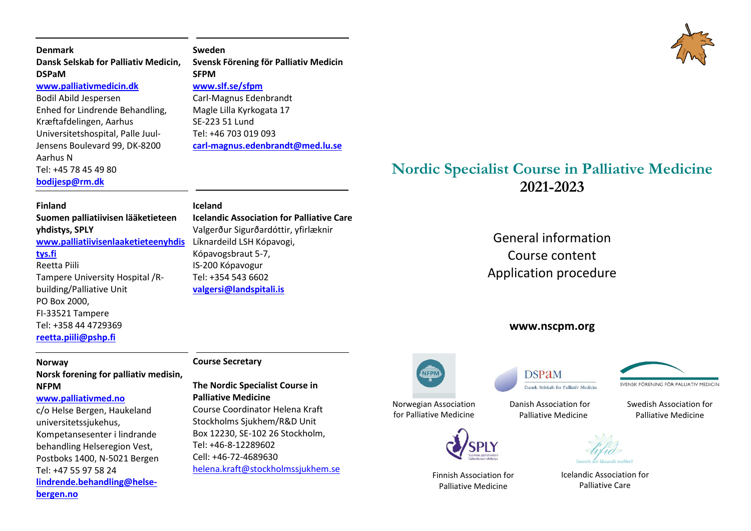| <b>Denmark</b>                       | Sweden                                |
|--------------------------------------|---------------------------------------|
| Dansk Selskab for Palliativ Medicin, | Svensk Förening för Palliativ Medicin |
| <b>DSPaM</b>                         | <b>SFPM</b>                           |
| www.palliativmedicin.dk              | www.slf.se/sfpm                       |
| Bodil Abild Jespersen                | Carl-Magnus Edenbrandt                |
| Enhed for Lindrende Behandling,      | Magle Lilla Kyrkogata 17              |
| Kræftafdelingen, Aarhus              | SE-223 51 Lund                        |
| Universitetshospital, Palle Juul-    | Tel: +46 703 019 093                  |
| Jensens Boulevard 99, DK-8200        | carl-magnus.edenbrandt@med.lu.se      |

Aarhus N Tel: +45 78 45 49 80

**[bodijesp@rm.dk](mailto:bodijesp@rm.dk)**

#### **Finland**

**Suomen palliatiivisen lääketieteen yhdistys, SPLY [www.palliatiivisenlaaketieteenyhdis](http://www.palliatiivisenlaaketieteenyhdistys.fi/)** Líknardeild LSH Kópavogi, **[tys.fi](http://www.palliatiivisenlaaketieteenyhdistys.fi/)** Reetta Piili Tampere University Hospital /Rbuilding/Palliative Unit PO Box 2000, FI-33521 Tampere Tel: +358 44 4729369 **[reetta.piili@pshp.fi](mailto:reetta.piili@pshp.fi)**

#### **Norway**

# **Norsk forening for palliativ medisin, NFPM**

#### **[www.palliativmed.no](http://www.palliativmed.no/)**

c/o Helse Bergen, Haukeland universitetssjukehus, Kompetansesenter i lindrande behandling Helseregion Vest, Postboks 1400, N-5021 Bergen Tel: +47 55 97 58 24 **[lindrende.behandling@helse](mailto:Lindrende.behandling@helse-bergen.no)[bergen.no](mailto:Lindrende.behandling@helse-bergen.no)**

# **Course Secretary**

**The Nordic Specialist Course in Palliative Medicine** Course Coordinator Helena Kraft Stockholms Sjukhem/R&D Unit Box 12230, SE-102 26 Stockholm,

Tel: +46-8-12289602 Cell: +46-72-4689630 [helena.kraft@stockholmssjukhem.se](mailto:helena.kraft@stockholmssjukhem.se)

**Iceland Icelandic Association for Palliative Care**  Valgerður Sigurðardóttir, yfirlæknir Kópavogsbraut 5-7, IS-200 Kópavogur Tel: +354 543 6602 **[valgersi@landspitali.is](mailto:valgersi@landspitali.is)**

Norwegian Association

for Palliative Medicine



Finnish Association for Palliative Medicine

Danish Association for Palliative Medicine



Icelandic Association for Palliative Care



# **Nordic Specialist Course in Palliative Medicine 2021-2023**

General information Course content Application procedure

# **www.nscpm.org**





SVENSK FÖRENING FÖR PALLIATIV MEDICIN

Swedish Association for Palliative Medicine